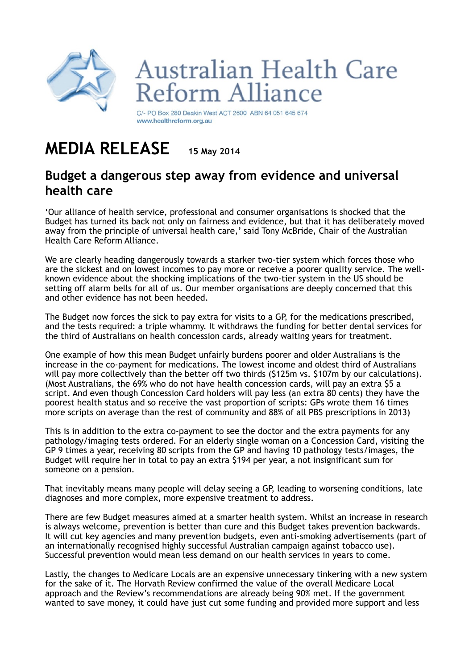

## **Australian Health Care** Reform Alliance

C/- PO Box 280 Deakin West ACT 2600 ABN 64 051 645 674 www.healthreform.org.au

## **MEDIA RELEASE 15 May 2014**

## **Budget a dangerous step away from evidence and universal health care**

'Our alliance of health service, professional and consumer organisations is shocked that the Budget has turned its back not only on fairness and evidence, but that it has deliberately moved away from the principle of universal health care,' said Tony McBride, Chair of the Australian Health Care Reform Alliance.

We are clearly heading dangerously towards a starker two-tier system which forces those who are the sickest and on lowest incomes to pay more or receive a poorer quality service. The wellknown evidence about the shocking implications of the two-tier system in the US should be setting off alarm bells for all of us. Our member organisations are deeply concerned that this and other evidence has not been heeded.

The Budget now forces the sick to pay extra for visits to a GP, for the medications prescribed, and the tests required: a triple whammy. It withdraws the funding for better dental services for the third of Australians on health concession cards, already waiting years for treatment.

One example of how this mean Budget unfairly burdens poorer and older Australians is the increase in the co-payment for medications. The lowest income and oldest third of Australians will pay more collectively than the better off two thirds (\$125m vs. \$107m by our calculations). (Most Australians, the 69% who do not have health concession cards, will pay an extra \$5 a script. And even though Concession Card holders will pay less (an extra 80 cents) they have the poorest health status and so receive the vast proportion of scripts: GPs wrote them 16 times more scripts on average than the rest of community and 88% of all PBS prescriptions in 2013)

This is in addition to the extra co-payment to see the doctor and the extra payments for any pathology/imaging tests ordered. For an elderly single woman on a Concession Card, visiting the GP 9 times a year, receiving 80 scripts from the GP and having 10 pathology tests/images, the Budget will require her in total to pay an extra \$194 per year, a not insignificant sum for someone on a pension.

That inevitably means many people will delay seeing a GP, leading to worsening conditions, late diagnoses and more complex, more expensive treatment to address.

There are few Budget measures aimed at a smarter health system. Whilst an increase in research is always welcome, prevention is better than cure and this Budget takes prevention backwards. It will cut key agencies and many prevention budgets, even anti-smoking advertisements (part of an internationally recognised highly successful Australian campaign against tobacco use). Successful prevention would mean less demand on our health services in years to come.

Lastly, the changes to Medicare Locals are an expensive unnecessary tinkering with a new system for the sake of it. The Horvath Review confirmed the value of the overall Medicare Local approach and the Review's recommendations are already being 90% met. If the government wanted to save money, it could have just cut some funding and provided more support and less